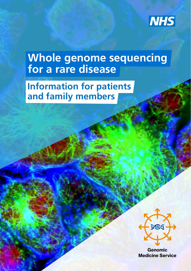

# **Whole genome sequencing for a rare disease**

## **Information for patients and family members**



Genomic Medicine Service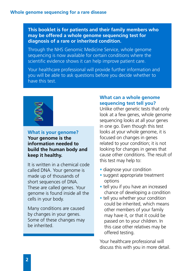**This booklet is for patients and their family members who may be offered a whole genome sequencing test for diagnosis of a rare or inherited condition.** 

Through the NHS Genomic Medicine Service, whole genome sequencing is now available for certain conditions where the scientific evidence shows it can help improve patient care.

Your healthcare professional will provide further information and you will be able to ask questions before you decide whether to have this test.



#### **What is your genome? Your genome is the information needed to build the human body and keep it healthy.**

It is written in a chemical code called DNA. Your genome is made up of thousands of short sequences of DNA. These are called genes. Your genome is found inside all the cells in your body.

Many conditions are caused by changes in your genes. Some of these changes may be inherited.

#### **What can a whole genome sequencing test tell you?**

Unlike other genetic tests that only look at a few genes, whole genome sequencing looks at all your genes in one go. Even though this test looks at your whole genome, it is focused on changes in genes related to your condition; it is not looking for changes in genes that cause other conditions. The result of this test may help to:

- diagnose your condition
- suggest appropriate treatment options
- tell you if you have an increased chance of developing a condition
- tell you whether your condition could be inherited, which means other members of your family may have it, or that it could be passed on to your children. In this case other relatives may be offered testing.

Your healthcare professional will discuss this with you in more detail.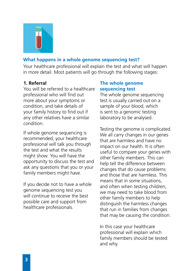

### **What happens in a whole genome sequencing test?**

Your healthcare professional will explain the test and what will happen in more detail. Most patients will go through the following stages:

#### **1. Referral**

You will be referred to a healthcare professional who will find out more about your symptoms or condition, and take details of your family history to find out if any other relatives have a similar condition.

If whole genome sequencing is recommended, your healthcare professional will talk you through the test and what the results might show. You will have the opportunity to discuss the test and ask any questions that you or your family members might have.

If you decide not to have a whole genome sequencing test you will continue to receive the best possible care and support from healthcare professionals.

#### **The whole genome sequencing test**

The whole genome sequencing test is usually carried out on a sample of your blood, which is sent to a genomic testing laboratory to be analysed.

Testing the genome is complicated. We all carry changes in our genes that are harmless and have no impact on our health. It is often useful to compare your genes with other family members. This can help tell the difference between changes that do cause problems and those that are harmless. This means that in some situations, and often when testing children, we may need to take blood from other family members to help distinguish the harmless changes that run in families from changes that may be causing the condition.

In this case your healthcare professional will explain which family members should be tested and why.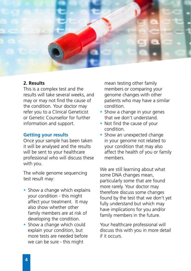

#### **2. Results**

This is a complex test and the results will take several weeks, and may or may not find the cause of the condition. Your doctor may refer you to a Clinical Geneticist or Genetic Counsellor for further information and support.

#### **Getting your results**

Once your sample has been taken it will be analysed and the results will be sent to your healthcare professional who will discuss these with you.

The whole genome sequencing test result may:

- Show a change which explains your condition - this might affect your treatment. It may also show whether other family members are at risk of developing the condition.
- Show a change which could explain your condition, but more tests are needed before we can be sure - this might

mean testing other family members or comparing your genome changes with other patients who may have a similar condition.

- Show a change in your genes that we don't understand.
- Not find the cause of your condition.
- Show an unexpected change in your genome not related to your condition that may also affect the health of you or family members.

We are still learning about what some DNA changes mean, particularly some that are found more rarely. Your doctor may therefore discuss some changes found by the test that we don't yet fully understand but which may have implications for you and/or family members in the future.

Your healthcare professional will discuss this with you in more detail if it occurs.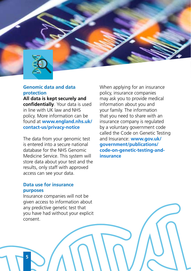

#### **Genomic data and data protection**

**All data is kept securely and confidentially**. Your data is used in line with UK law and NHS policy. More information can be found at **www.england.nhs.uk/ contact-us/privacy-notice**

The data from your genomic test is entered into a secure national database for the NHS Genomic Medicine Service. This system will store data about your test and the results, only staff with approved access can see your data.

When applying for an insurance policy, insurance companies may ask you to provide medical information about you and your family. The information that you need to share with an insurance company is regulated by a voluntary government code called the Code on Genetic Testing and Insurance: **www.gov.uk/ government/publications/ code-on-genetic-testing-andinsurance**

#### **Data use for insurance purposes**

Insurance companies will not be given access to information about any predictive genetic test that you have had without your explicit consent.